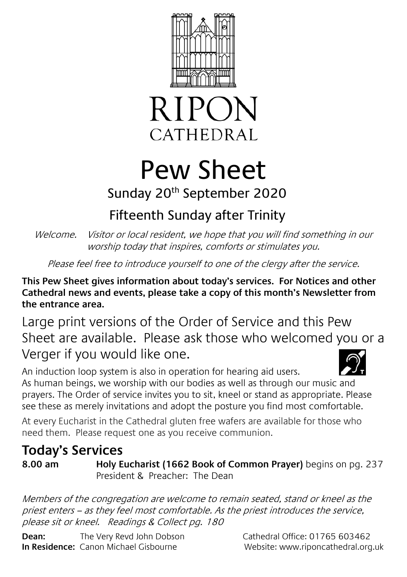



# Pew Sheet

## Sunday 20th September 2020

# Fifteenth Sunday after Trinity

Welcome. Visitor or local resident, we hope that you will find something in our worship today that inspires, comforts or stimulates you.

Please feel free to introduce yourself to one of the clergy after the service.

**This Pew Sheet gives information about today's services. For Notices and other Cathedral news and events, please take a copy of this month's Newsletter from the entrance area.** 

Large print versions of the Order of Service and this Pew Sheet are available. Please ask those who welcomed you or a Verger if you would like one.

An induction loop system is also in operation for hearing aid users. As human beings, we worship with our bodies as well as through our music and prayers. The Order of service invites you to sit, kneel or stand as appropriate. Please see these as merely invitations and adopt the posture you find most comfortable.

At every Eucharist in the Cathedral gluten free wafers are available for those who need them. Please request one as you receive communion.

### **Today's Services**

**8.00 am Holy Eucharist (1662 Book of Common Prayer)** begins on pg. 237 President & Preacher: The Dean

Members of the congregation are welcome to remain seated, stand or kneel as the priest enters – as they feel most comfortable. As the priest introduces the service, please sit or kneel. Readings & Collect pg. 180

**Dean:** The Very Revd John Dobson Cathedral Office: 01765 603462 **In Residence:** Canon Michael Gisbourne **Website: www.riponcathedral.org.uk**